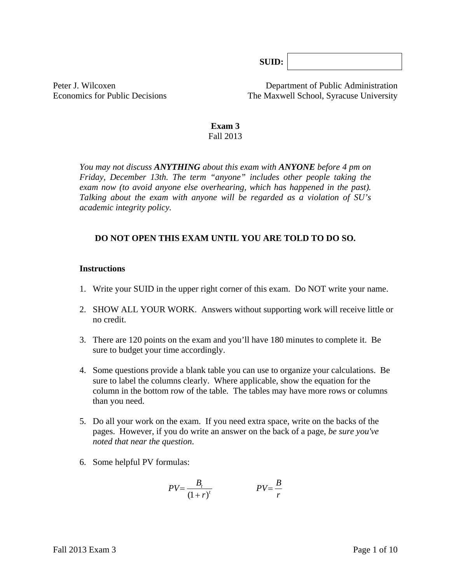**SUID:**

Peter J. Wilcoxen Department of Public Administration Economics for Public Decisions The Maxwell School, Syracuse University

> **Exam 3**  Fall 2013

*You may not discuss ANYTHING about this exam with ANYONE before 4 pm on Friday, December 13th. The term "anyone" includes other people taking the exam now (to avoid anyone else overhearing, which has happened in the past). Talking about the exam with anyone will be regarded as a violation of SU's academic integrity policy.* 

### **DO NOT OPEN THIS EXAM UNTIL YOU ARE TOLD TO DO SO.**

#### **Instructions**

- 1. Write your SUID in the upper right corner of this exam. Do NOT write your name.
- 2. SHOW ALL YOUR WORK. Answers without supporting work will receive little or no credit.
- 3. There are 120 points on the exam and you'll have 180 minutes to complete it. Be sure to budget your time accordingly.
- 4. Some questions provide a blank table you can use to organize your calculations. Be sure to label the columns clearly. Where applicable, show the equation for the column in the bottom row of the table*.* The tables may have more rows or columns than you need.
- 5. Do all your work on the exam. If you need extra space, write on the backs of the pages. However, if you do write an answer on the back of a page, *be sure you've noted that near the question*.
- 6. Some helpful PV formulas:

$$
PV = \frac{B_t}{\left(1+r\right)^t} \qquad \qquad PV = \frac{B}{r}
$$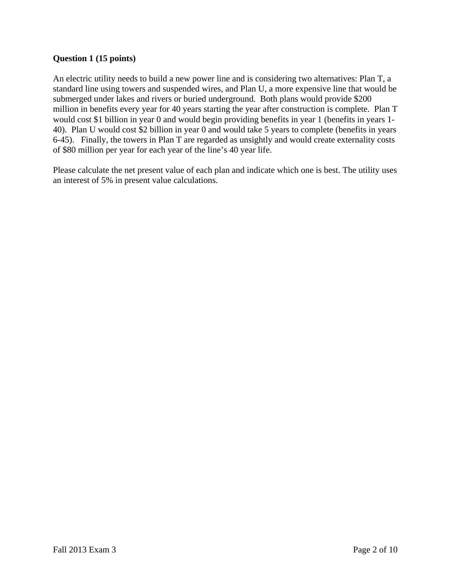## **Question 1 (15 points)**

An electric utility needs to build a new power line and is considering two alternatives: Plan T, a standard line using towers and suspended wires, and Plan U, a more expensive line that would be submerged under lakes and rivers or buried underground. Both plans would provide \$200 million in benefits every year for 40 years starting the year after construction is complete. Plan T would cost \$1 billion in year 0 and would begin providing benefits in year 1 (benefits in years 1- 40). Plan U would cost \$2 billion in year 0 and would take 5 years to complete (benefits in years 6-45). Finally, the towers in Plan T are regarded as unsightly and would create externality costs of \$80 million per year for each year of the line's 40 year life.

Please calculate the net present value of each plan and indicate which one is best. The utility uses an interest of 5% in present value calculations.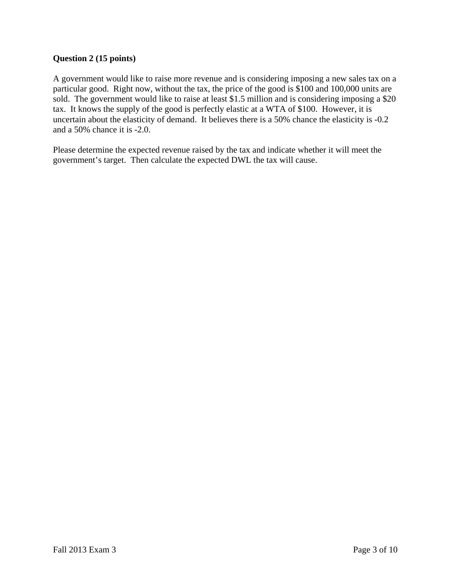# **Question 2 (15 points)**

A government would like to raise more revenue and is considering imposing a new sales tax on a particular good. Right now, without the tax, the price of the good is \$100 and 100,000 units are sold. The government would like to raise at least \$1.5 million and is considering imposing a \$20 tax. It knows the supply of the good is perfectly elastic at a WTA of \$100. However, it is uncertain about the elasticity of demand. It believes there is a 50% chance the elasticity is -0.2 and a 50% chance it is -2.0.

Please determine the expected revenue raised by the tax and indicate whether it will meet the government's target. Then calculate the expected DWL the tax will cause.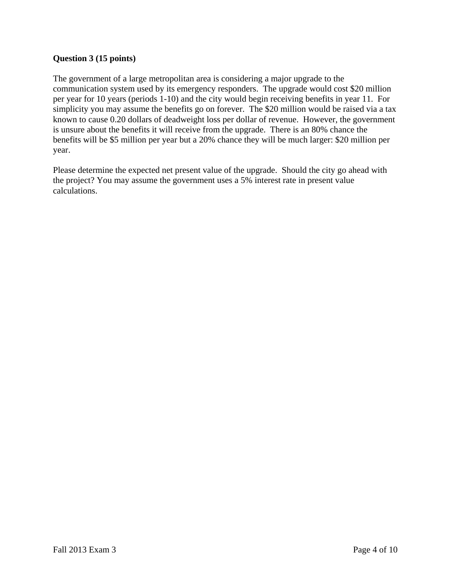# **Question 3 (15 points)**

The government of a large metropolitan area is considering a major upgrade to the communication system used by its emergency responders. The upgrade would cost \$20 million per year for 10 years (periods 1-10) and the city would begin receiving benefits in year 11. For simplicity you may assume the benefits go on forever. The \$20 million would be raised via a tax known to cause 0.20 dollars of deadweight loss per dollar of revenue. However, the government is unsure about the benefits it will receive from the upgrade. There is an 80% chance the benefits will be \$5 million per year but a 20% chance they will be much larger: \$20 million per year.

Please determine the expected net present value of the upgrade. Should the city go ahead with the project? You may assume the government uses a 5% interest rate in present value calculations.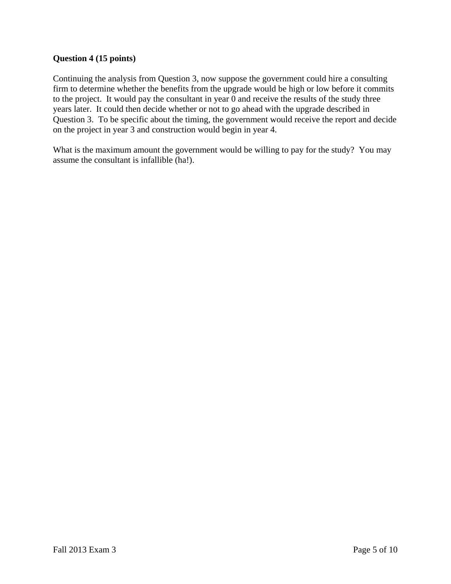## **Question 4 (15 points)**

Continuing the analysis from Question 3, now suppose the government could hire a consulting firm to determine whether the benefits from the upgrade would be high or low before it commits to the project. It would pay the consultant in year 0 and receive the results of the study three years later. It could then decide whether or not to go ahead with the upgrade described in Question 3. To be specific about the timing, the government would receive the report and decide on the project in year 3 and construction would begin in year 4.

What is the maximum amount the government would be willing to pay for the study? You may assume the consultant is infallible (ha!).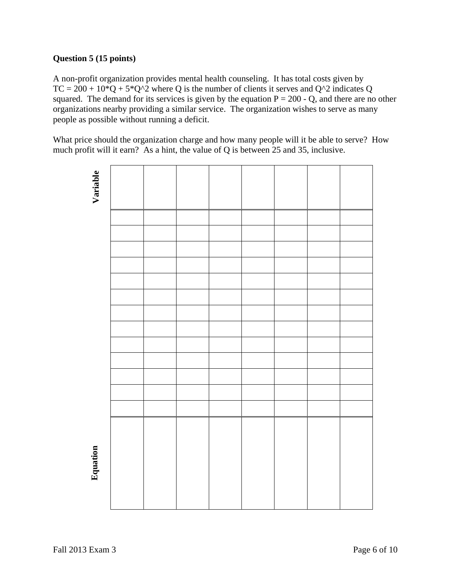# **Question 5 (15 points)**

A non-profit organization provides mental health counseling. It has total costs given by  $TC = 200 + 10^*Q + 5^*Q^2$  where Q is the number of clients it serves and  $Q^2$  indicates Q squared. The demand for its services is given by the equation  $P = 200 - Q$ , and there are no other organizations nearby providing a similar service. The organization wishes to serve as many people as possible without running a deficit.

What price should the organization charge and how many people will it be able to serve? How much profit will it earn? As a hint, the value of Q is between 25 and 35, inclusive.

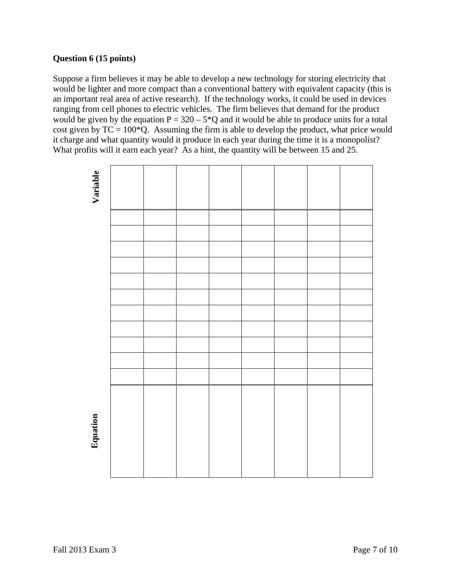# **Question 6 (15 points)**

Suppose a firm believes it may be able to develop a new technology for storing electricity that would be lighter and more compact than a conventional battery with equivalent capacity (this is an important real area of active research). If the technology works, it could be used in devices ranging from cell phones to electric vehicles. The firm believes that demand for the product would be given by the equation  $P = 320 - 5*Q$  and it would be able to produce units for a total cost given by  $TC = 100*Q$ . Assuming the firm is able to develop the product, what price would it charge and what quantity would it produce in each year during the time it is a monopolist? What profits will it earn each year? As a hint, the quantity will be between 15 and 25.

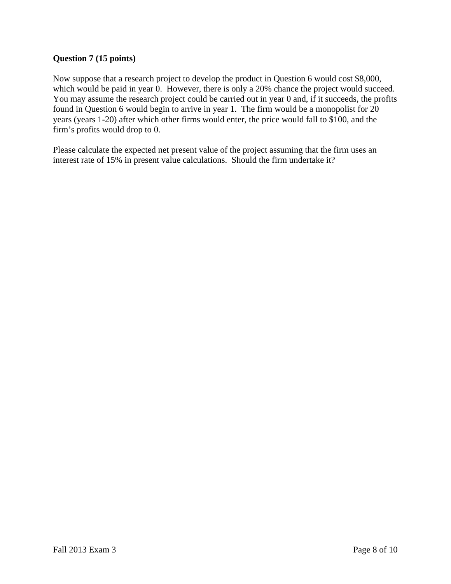# **Question 7 (15 points)**

Now suppose that a research project to develop the product in Question 6 would cost \$8,000, which would be paid in year 0. However, there is only a 20% chance the project would succeed. You may assume the research project could be carried out in year 0 and, if it succeeds, the profits found in Question 6 would begin to arrive in year 1. The firm would be a monopolist for 20 years (years 1-20) after which other firms would enter, the price would fall to \$100, and the firm's profits would drop to 0.

Please calculate the expected net present value of the project assuming that the firm uses an interest rate of 15% in present value calculations. Should the firm undertake it?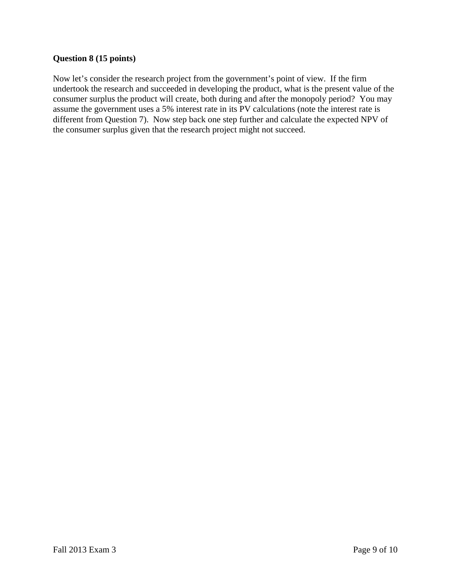## **Question 8 (15 points)**

Now let's consider the research project from the government's point of view. If the firm undertook the research and succeeded in developing the product, what is the present value of the consumer surplus the product will create, both during and after the monopoly period? You may assume the government uses a 5% interest rate in its PV calculations (note the interest rate is different from Question 7). Now step back one step further and calculate the expected NPV of the consumer surplus given that the research project might not succeed.